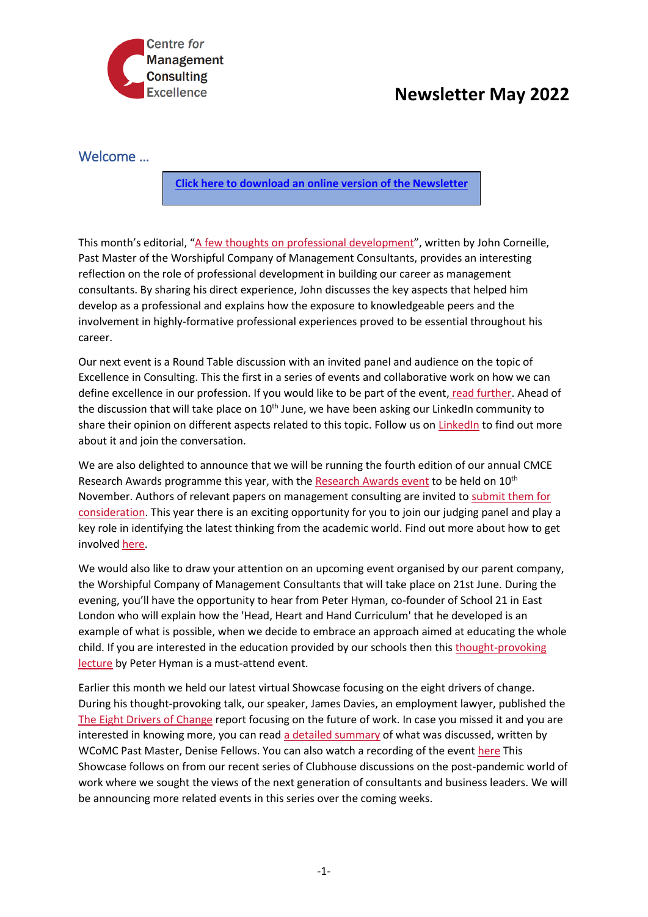

## **Newsletter May 2022**

## Welcome …

**[Click here to download an online version of the Newsletter](https://mailchi.mp/a75cb5fe41ca/cmce-events-bulletin-5-february-15494459)**

This month's editorial, "[A few thoughts on professional development](https://cmce.us19.list-manage.com/track/click?u=f4cf11b76da46742d6bab4404&id=935d837682&e=c010a948f1)", written by John Corneille, Past Master of the Worshipful Company of Management Consultants, provides an interesting reflection on the role of professional development in building our career as management consultants. By sharing his direct experience, John discusses the key aspects that helped him develop as a professional and explains how the exposure to knowledgeable peers and the involvement in highly-formative professional experiences proved to be essential throughout his career.

Our next event is a Round Table discussion with an invited panel and audience on the topic of Excellence in Consulting. This the first in a series of events and collaborative work on how we can define excellence in our profession. If you would like to be part of the event, [read further.](https://cmce.us19.list-manage.com/track/click?u=f4cf11b76da46742d6bab4404&id=309afa679e&e=c010a948f1) Ahead of the discussion that will take place on 10<sup>th</sup> June, we have been asking our LinkedIn community to share their opinion on different aspects related to this topic. Follow us on [LinkedIn](https://cmce.us19.list-manage.com/track/click?u=f4cf11b76da46742d6bab4404&id=6e73a0df5a&e=c010a948f1) to find out more about it and join the conversation.

We are also delighted to announce that we will be running the fourth edition of our annual CMCE Research Awards programme this year, with the [Research Awards event](https://cmce.us19.list-manage.com/track/click?u=f4cf11b76da46742d6bab4404&id=c5686b2e5f&e=c010a948f1) to be held on 10<sup>th</sup> November. Authors of relevant papers on management consulting are invited to submit them for [consideration.](https://cmce.us19.list-manage.com/track/click?u=f4cf11b76da46742d6bab4404&id=de85931384&e=c010a948f1) This year there is an exciting opportunity for you to join our judging panel and play a key role in identifying the latest thinking from the academic world. Find out more about how to get involved [here.](https://cmce.us19.list-manage.com/track/click?u=f4cf11b76da46742d6bab4404&id=6681f0b956&e=c010a948f1)

We would also like to draw your attention on an upcoming event organised by our parent company, the Worshipful Company of Management Consultants that will take place on 21st June. During the evening, you'll have the opportunity to hear from Peter Hyman, co-founder of School 21 in East London who will explain how the 'Head, Heart and Hand Curriculum' that he developed is an example of what is possible, when we decide to embrace an approach aimed at educating the whole child. If you are interested in the education provided by our schools then this [thought-provoking](https://cmce.us19.list-manage.com/track/click?u=f4cf11b76da46742d6bab4404&id=9b0e3a1787&e=c010a948f1)  [lecture](https://cmce.us19.list-manage.com/track/click?u=f4cf11b76da46742d6bab4404&id=9b0e3a1787&e=c010a948f1) by Peter Hyman is a must-attend event.

Earlier this month we held our latest virtual Showcase focusing on the eight drivers of change. During his thought-provoking talk, our speaker, James Davies, an employment lawyer, published the [The Eight Drivers of Change](https://cmce.us19.list-manage.com/track/click?u=f4cf11b76da46742d6bab4404&id=3e530cf0a5&e=c010a948f1) report focusing on the future of work. In case you missed it and you are interested in knowing more, you can read [a detailed summary](https://cmce.us19.list-manage.com/track/click?u=f4cf11b76da46742d6bab4404&id=968c67ebb7&e=c010a948f1) of what was discussed, written by WCoMC Past Master, Denise Fellows. You can also watch a recording of the event [here](https://cmce.us19.list-manage.com/track/click?u=f4cf11b76da46742d6bab4404&id=fd99f2f44f&e=c010a948f1) This Showcase follows on from our recent series of Clubhouse discussions on the post-pandemic world of work where we sought the views of the next generation of consultants and business leaders. We will be announcing more related events in this series over the coming weeks.